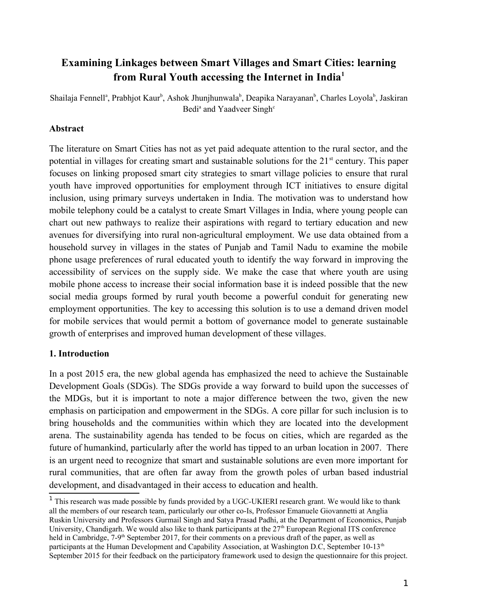# **Examining Linkages between Smart Villages and Smart Cities: learning from Rural Youth accessing the Internet in India[1](#page-0-0)**

Shailaja Fennell<sup>a</sup>, Prabhjot Kaur<sup>b</sup>, Ashok Jhunjhunwala<sup>b</sup>, Deapika Narayanan<sup>b</sup>, Charles Loyola<sup>b</sup>, Jaskiran Bedi<sup>a</sup> and Yaadveer Singh<sup>c</sup>

# **Abstract**

The literature on Smart Cities has not as yet paid adequate attention to the rural sector, and the potential in villages for creating smart and sustainable solutions for the  $21<sup>st</sup>$  century. This paper focuses on linking proposed smart city strategies to smart village policies to ensure that rural youth have improved opportunities for employment through ICT initiatives to ensure digital inclusion, using primary surveys undertaken in India. The motivation was to understand how mobile telephony could be a catalyst to create Smart Villages in India, where young people can chart out new pathways to realize their aspirations with regard to tertiary education and new avenues for diversifying into rural non-agricultural employment. We use data obtained from a household survey in villages in the states of Punjab and Tamil Nadu to examine the mobile phone usage preferences of rural educated youth to identify the way forward in improving the accessibility of services on the supply side. We make the case that where youth are using mobile phone access to increase their social information base it is indeed possible that the new social media groups formed by rural youth become a powerful conduit for generating new employment opportunities. The key to accessing this solution is to use a demand driven model for mobile services that would permit a bottom of governance model to generate sustainable growth of enterprises and improved human development of these villages.

### **1. Introduction**

In a post 2015 era, the new global agenda has emphasized the need to achieve the Sustainable Development Goals (SDGs). The SDGs provide a way forward to build upon the successes of the MDGs, but it is important to note a major difference between the two, given the new emphasis on participation and empowerment in the SDGs. A core pillar for such inclusion is to bring households and the communities within which they are located into the development arena. The sustainability agenda has tended to be focus on cities, which are regarded as the future of humankind, particularly after the world has tipped to an urban location in 2007. There is an urgent need to recognize that smart and sustainable solutions are even more important for rural communities, that are often far away from the growth poles of urban based industrial development, and disadvantaged in their access to education and health.

<span id="page-0-0"></span><sup>&</sup>lt;sup>1</sup> This research was made possible by funds provided by a UGC-UKIERI research grant. We would like to thank all the members of our research team, particularly our other co-Is, Professor Emanuele Giovannetti at Anglia Ruskin University and Professors Gurmail Singh and Satya Prasad Padhi, at the Department of Economics, Punjab University, Chandigarh. We would also like to thank participants at the  $27<sup>th</sup>$  European Regional ITS conference held in Cambridge, 7-9<sup>th</sup> September 2017, for their comments on a previous draft of the paper, as well as participants at the Human Development and Capability Association, at Washington D.C, September 10-13<sup>th</sup> September 2015 for their feedback on the participatory framework used to design the questionnaire for this project.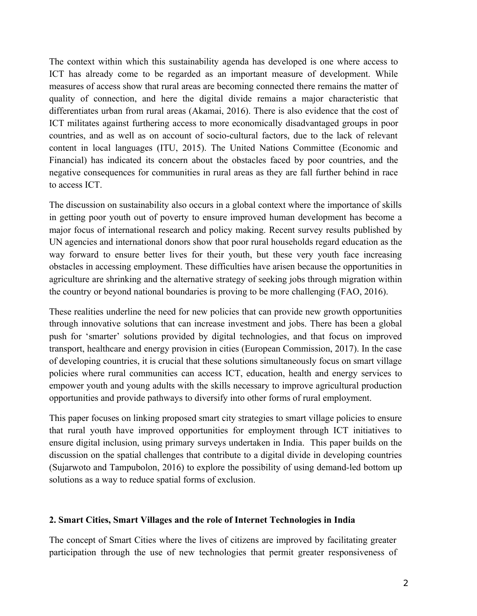The context within which this sustainability agenda has developed is one where access to ICT has already come to be regarded as an important measure of development. While measures of access show that rural areas are becoming connected there remains the matter of quality of connection, and here the digital divide remains a major characteristic that differentiates urban from rural areas (Akamai, 2016). There is also evidence that the cost of ICT militates against furthering access to more economically disadvantaged groups in poor countries, and as well as on account of socio-cultural factors, due to the lack of relevant content in local languages (ITU, 2015). The United Nations Committee (Economic and Financial) has indicated its concern about the obstacles faced by poor countries, and the negative consequences for communities in rural areas as they are fall further behind in race to access ICT.

The discussion on sustainability also occurs in a global context where the importance of skills in getting poor youth out of poverty to ensure improved human development has become a major focus of international research and policy making. Recent survey results published by UN agencies and international donors show that poor rural households regard education as the way forward to ensure better lives for their youth, but these very youth face increasing obstacles in accessing employment. These difficulties have arisen because the opportunities in agriculture are shrinking and the alternative strategy of seeking jobs through migration within the country or beyond national boundaries is proving to be more challenging (FAO, 2016).

These realities underline the need for new policies that can provide new growth opportunities through innovative solutions that can increase investment and jobs. There has been a global push for 'smarter' solutions provided by digital technologies, and that focus on improved transport, healthcare and energy provision in cities (European Commission, 2017). In the case of developing countries, it is crucial that these solutions simultaneously focus on smart village policies where rural communities can access ICT, education, health and energy services to empower youth and young adults with the skills necessary to improve agricultural production opportunities and provide pathways to diversify into other forms of rural employment.

This paper focuses on linking proposed smart city strategies to smart village policies to ensure that rural youth have improved opportunities for employment through ICT initiatives to ensure digital inclusion, using primary surveys undertaken in India. This paper builds on the discussion on the spatial challenges that contribute to a digital divide in developing countries (Sujarwoto and Tampubolon, 2016) to explore the possibility of using demand-led bottom up solutions as a way to reduce spatial forms of exclusion.

#### **2. Smart Cities, Smart Villages and the role of Internet Technologies in India**

The concept of Smart Cities where the lives of citizens are improved by facilitating greater participation through the use of new technologies that permit greater responsiveness of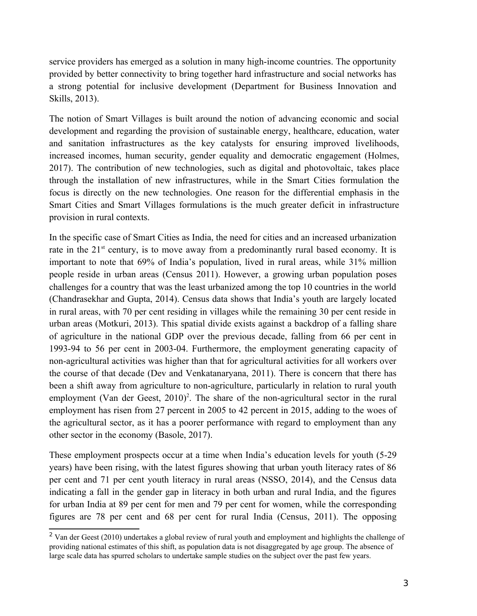service providers has emerged as a solution in many high-income countries. The opportunity provided by better connectivity to bring together hard infrastructure and social networks has a strong potential for inclusive development (Department for Business Innovation and Skills, 2013).

The notion of Smart Villages is built around the notion of advancing economic and social development and regarding the provision of sustainable energy, healthcare, education, water and sanitation infrastructures as the key catalysts for ensuring improved livelihoods, increased incomes, human security, gender equality and democratic engagement (Holmes, 2017). The contribution of new technologies, such as digital and photovoltaic, takes place through the installation of new infrastructures, while in the Smart Cities formulation the focus is directly on the new technologies. One reason for the differential emphasis in the Smart Cities and Smart Villages formulations is the much greater deficit in infrastructure provision in rural contexts.

In the specific case of Smart Cities as India, the need for cities and an increased urbanization rate in the  $21<sup>st</sup>$  century, is to move away from a predominantly rural based economy. It is important to note that 69% of India's population, lived in rural areas, while 31% million people reside in urban areas (Census 2011). However, a growing urban population poses challenges for a country that was the least urbanized among the top 10 countries in the world (Chandrasekhar and Gupta, 2014). Census data shows that India's youth are largely located in rural areas, with 70 per cent residing in villages while the remaining 30 per cent reside in urban areas (Motkuri, 2013). This spatial divide exists against a backdrop of a falling share of agriculture in the national GDP over the previous decade, falling from 66 per cent in 1993-94 to 56 per cent in 2003-04. Furthermore, the employment generating capacity of non-agricultural activities was higher than that for agricultural activities for all workers over the course of that decade (Dev and Venkatanaryana, 2011). There is concern that there has been a shift away from agriculture to non-agriculture, particularly in relation to rural youth employment (Van der Geest,  $2010$  $2010$ )<sup>2</sup>. The share of the non-agricultural sector in the rural employment has risen from 27 percent in 2005 to 42 percent in 2015, adding to the woes of the agricultural sector, as it has a poorer performance with regard to employment than any other sector in the economy (Basole, 2017).

These employment prospects occur at a time when India's education levels for youth (5-29 years) have been rising, with the latest figures showing that urban youth literacy rates of 86 per cent and 71 per cent youth literacy in rural areas (NSSO, 2014), and the Census data indicating a fall in the gender gap in literacy in both urban and rural India, and the figures for urban India at 89 per cent for men and 79 per cent for women, while the corresponding figures are 78 per cent and 68 per cent for rural India (Census, 2011). The opposing

<span id="page-2-0"></span><sup>&</sup>lt;sup>2</sup> Van der Geest (2010) undertakes a global review of rural youth and employment and highlights the challenge of providing national estimates of this shift, as population data is not disaggregated by age group. The absence of large scale data has spurred scholars to undertake sample studies on the subject over the past few years.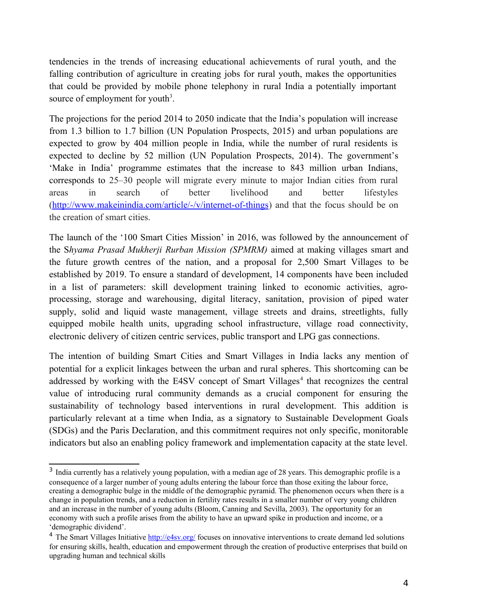tendencies in the trends of increasing educational achievements of rural youth, and the falling contribution of agriculture in creating jobs for rural youth, makes the opportunities that could be provided by mobile phone telephony in rural India a potentially important source of employment for youth<sup>[3](#page-3-0)</sup>.

The projections for the period 2014 to 2050 indicate that the India's population will increase from 1.3 billion to 1.7 billion (UN Population Prospects, 2015) and urban populations are expected to grow by 404 million people in India, while the number of rural residents is expected to decline by 52 million (UN Population Prospects, 2014). The government's 'Make in India' programme estimates that the increase to 843 million urban Indians, corresponds to 25–30 people will migrate every minute to major Indian cities from rural areas in search of better livelihood and better lifestyles [\(http://www.makeinindia.com/article/-/v/internet-of-things\)](http://www.makeinindia.com/article/-/v/internet-of-things) and that the focus should be on the creation of smart cities.

The launch of the '100 Smart Cities Mission' in 2016, was followed by the announcement of the S*hyama Prasad Mukherji Rurban Mission (SPMRM)* aimed at making villages smart and the future growth centres of the nation, and a proposal for 2,500 Smart Villages to be established by 2019. To ensure a standard of development, 14 components have been included in a list of parameters: skill development training linked to economic activities, agroprocessing, storage and warehousing, digital literacy, sanitation, provision of piped water supply, solid and liquid waste management, village streets and drains, streetlights, fully equipped mobile health units, upgrading school infrastructure, village road connectivity, electronic delivery of citizen centric services, public transport and LPG gas connections.

The intention of building Smart Cities and Smart Villages in India lacks any mention of potential for a explicit linkages between the urban and rural spheres. This shortcoming can be addressed by working with the E[4](#page-3-1)SV concept of Smart Villages<sup>4</sup> that recognizes the central value of introducing rural community demands as a crucial component for ensuring the sustainability of technology based interventions in rural development. This addition is particularly relevant at a time when India, as a signatory to Sustainable Development Goals (SDGs) and the Paris Declaration, and this commitment requires not only specific, monitorable indicators but also an enabling policy framework and implementation capacity at the state level.

<span id="page-3-0"></span><sup>&</sup>lt;sup>3</sup> India currently has a relatively young population, with a median age of 28 years. This demographic profile is a consequence of a larger number of young adults entering the labour force than those exiting the labour force, creating a demographic bulge in the middle of the demographic pyramid. The phenomenon occurs when there is a change in population trends, and a reduction in fertility rates results in a smaller number of very young children and an increase in the number of young adults (Bloom, Canning and Sevilla, 2003). The opportunity for an economy with such a profile arises from the ability to have an upward spike in production and income, or a 'demographic dividend'.

<span id="page-3-1"></span><sup>&</sup>lt;sup>4</sup> The Smart Villages Initiative<http://e4sv.org/>focuses on innovative interventions to create demand led solutions for ensuring skills, health, education and empowerment through the creation of productive enterprises that build on upgrading human and technical skills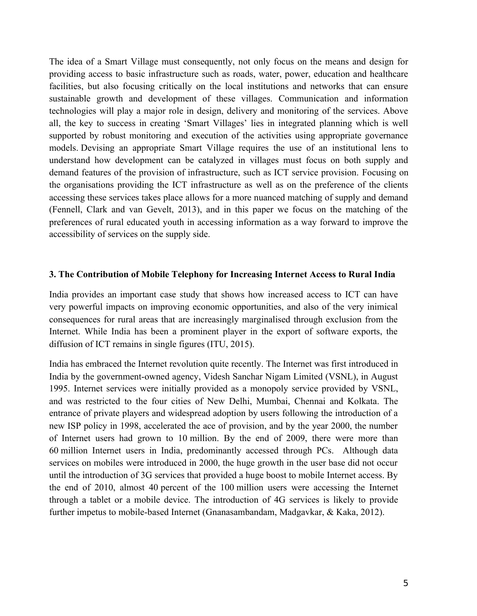The idea of a Smart Village must consequently, not only focus on the means and design for providing access to basic infrastructure such as roads, water, power, education and healthcare facilities, but also focusing critically on the local institutions and networks that can ensure sustainable growth and development of these villages. Communication and information technologies will play a major role in design, delivery and monitoring of the services. Above all, the key to success in creating 'Smart Villages' lies in integrated planning which is well supported by robust monitoring and execution of the activities using appropriate governance models. Devising an appropriate Smart Village requires the use of an institutional lens to understand how development can be catalyzed in villages must focus on both supply and demand features of the provision of infrastructure, such as ICT service provision. Focusing on the organisations providing the ICT infrastructure as well as on the preference of the clients accessing these services takes place allows for a more nuanced matching of supply and demand (Fennell, Clark and van Gevelt, 2013), and in this paper we focus on the matching of the preferences of rural educated youth in accessing information as a way forward to improve the accessibility of services on the supply side.

#### **3. The Contribution of Mobile Telephony for Increasing Internet Access to Rural India**

India provides an important case study that shows how increased access to ICT can have very powerful impacts on improving economic opportunities, and also of the very inimical consequences for rural areas that are increasingly marginalised through exclusion from the Internet. While India has been a prominent player in the export of software exports, the diffusion of ICT remains in single figures (ITU, 2015).

India has embraced the Internet revolution quite recently. The Internet was first introduced in India by the government-owned agency, Videsh Sanchar Nigam Limited (VSNL), in August 1995. Internet services were initially provided as a monopoly service provided by VSNL, and was restricted to the four cities of New Delhi, Mumbai, Chennai and Kolkata. The entrance of private players and widespread adoption by users following the introduction of a new ISP policy in 1998, accelerated the ace of provision, and by the year 2000, the number of Internet users had grown to 10 million. By the end of 2009, there were more than 60 million Internet users in India, predominantly accessed through PCs. Although data services on mobiles were introduced in 2000, the huge growth in the user base did not occur until the introduction of 3G services that provided a huge boost to mobile Internet access. By the end of 2010, almost 40 percent of the 100 million users were accessing the Internet through a tablet or a mobile device. The introduction of 4G services is likely to provide further impetus to mobile-based Internet (Gnanasambandam, Madgavkar, & Kaka, 2012).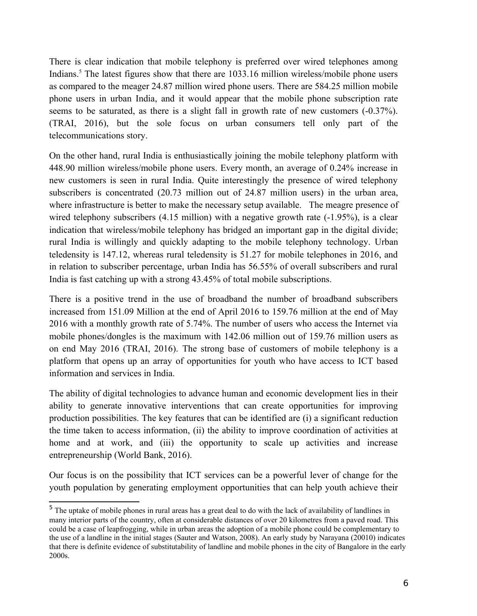There is clear indication that mobile telephony is preferred over wired telephones among Indians.<sup>[5](#page-5-0)</sup> The latest figures show that there are 1033.16 million wireless/mobile phone users as compared to the meager 24.87 million wired phone users. There are 584.25 million mobile phone users in urban India, and it would appear that the mobile phone subscription rate seems to be saturated, as there is a slight fall in growth rate of new customers (-0.37%). (TRAI, 2016), but the sole focus on urban consumers tell only part of the telecommunications story.

On the other hand, rural India is enthusiastically joining the mobile telephony platform with 448.90 million wireless/mobile phone users. Every month, an average of 0.24% increase in new customers is seen in rural India. Quite interestingly the presence of wired telephony subscribers is concentrated (20.73 million out of 24.87 million users) in the urban area, where infrastructure is better to make the necessary setup available. The meagre presence of wired telephony subscribers (4.15 million) with a negative growth rate (-1.95%), is a clear indication that wireless/mobile telephony has bridged an important gap in the digital divide; rural India is willingly and quickly adapting to the mobile telephony technology. Urban teledensity is 147.12, whereas rural teledensity is 51.27 for mobile telephones in 2016, and in relation to subscriber percentage, urban India has 56.55% of overall subscribers and rural India is fast catching up with a strong 43.45% of total mobile subscriptions.

There is a positive trend in the use of broadband the number of broadband subscribers increased from 151.09 Million at the end of April 2016 to 159.76 million at the end of May 2016 with a monthly growth rate of 5.74%. The number of users who access the Internet via mobile phones/dongles is the maximum with 142.06 million out of 159.76 million users as on end May 2016 (TRAI, 2016). The strong base of customers of mobile telephony is a platform that opens up an array of opportunities for youth who have access to ICT based information and services in India.

The ability of digital technologies to advance human and economic development lies in their ability to generate innovative interventions that can create opportunities for improving production possibilities. The key features that can be identified are (i) a significant reduction the time taken to access information, (ii) the ability to improve coordination of activities at home and at work, and (iii) the opportunity to scale up activities and increase entrepreneurship (World Bank, 2016).

Our focus is on the possibility that ICT services can be a powerful lever of change for the youth population by generating employment opportunities that can help youth achieve their

<span id="page-5-0"></span><sup>&</sup>lt;sup>5</sup> The uptake of mobile phones in rural areas has a great deal to do with the lack of availability of landlines in many interior parts of the country, often at considerable distances of over 20 kilometres from a paved road. This could be a case of leapfrogging, while in urban areas the adoption of a mobile phone could be complementary to the use of a landline in the initial stages (Sauter and Watson, 2008). An early study by Narayana (20010) indicates that there is definite evidence of substitutability of landline and mobile phones in the city of Bangalore in the early 2000s.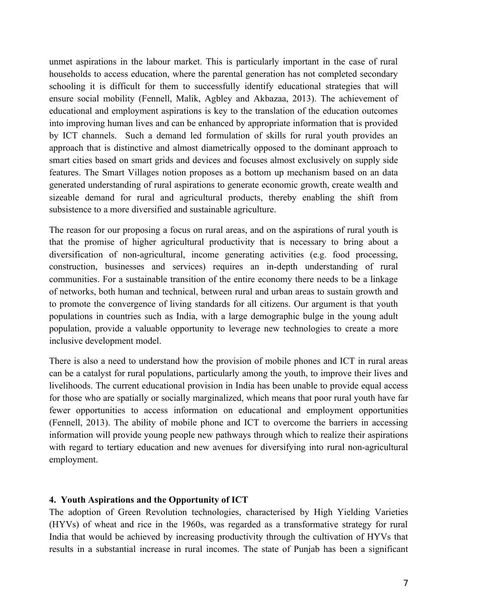unmet aspirations in the labour market. This is particularly important in the case of rural households to access education, where the parental generation has not completed secondary schooling it is difficult for them to successfully identify educational strategies that will ensure social mobility (Fennell, Malik, Agbley and Akbazaa, 2013). The achievement of educational and employment aspirations is key to the translation of the education outcomes into improving human lives and can be enhanced by appropriate information that is provided by ICT channels. Such a demand led formulation of skills for rural youth provides an approach that is distinctive and almost diametrically opposed to the dominant approach to smart cities based on smart grids and devices and focuses almost exclusively on supply side features. The Smart Villages notion proposes as a bottom up mechanism based on an data generated understanding of rural aspirations to generate economic growth, create wealth and sizeable demand for rural and agricultural products, thereby enabling the shift from subsistence to a more diversified and sustainable agriculture.

The reason for our proposing a focus on rural areas, and on the aspirations of rural youth is that the promise of higher agricultural productivity that is necessary to bring about a diversification of non-agricultural, income generating activities (e.g. food processing, construction, businesses and services) requires an in-depth understanding of rural communities. For a sustainable transition of the entire economy there needs to be a linkage of networks, both human and technical, between rural and urban areas to sustain growth and to promote the convergence of living standards for all citizens. Our argument is that youth populations in countries such as India, with a large demographic bulge in the young adult population, provide a valuable opportunity to leverage new technologies to create a more inclusive development model.

There is also a need to understand how the provision of mobile phones and ICT in rural areas can be a catalyst for rural populations, particularly among the youth, to improve their lives and livelihoods. The current educational provision in India has been unable to provide equal access for those who are spatially or socially marginalized, which means that poor rural youth have far fewer opportunities to access information on educational and employment opportunities (Fennell, 2013). The ability of mobile phone and ICT to overcome the barriers in accessing information will provide young people new pathways through which to realize their aspirations with regard to tertiary education and new avenues for diversifying into rural non-agricultural employment.

### **4. Youth Aspirations and the Opportunity of ICT**

The adoption of Green Revolution technologies, characterised by High Yielding Varieties (HYVs) of wheat and rice in the 1960s, was regarded as a transformative strategy for rural India that would be achieved by increasing productivity through the cultivation of HYVs that results in a substantial increase in rural incomes. The state of Punjab has been a significant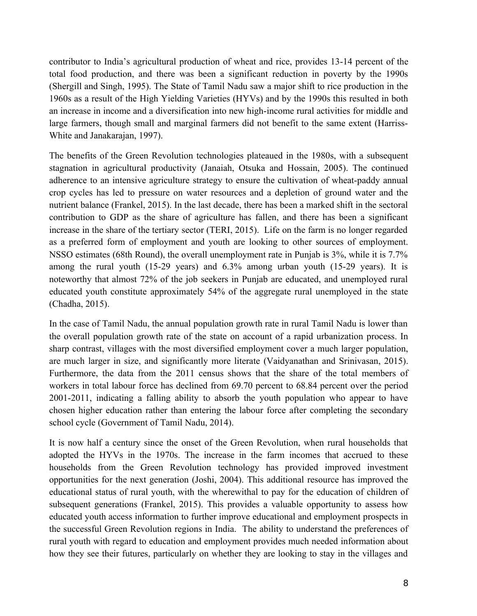contributor to India's agricultural production of wheat and rice, provides 13-14 percent of the total food production, and there was been a significant reduction in poverty by the 1990s (Shergill and Singh, 1995). The State of Tamil Nadu saw a major shift to rice production in the 1960s as a result of the High Yielding Varieties (HYVs) and by the 1990s this resulted in both an increase in income and a diversification into new high-income rural activities for middle and large farmers, though small and marginal farmers did not benefit to the same extent (Harriss-White and Janakarajan, 1997).

The benefits of the Green Revolution technologies plateaued in the 1980s, with a subsequent stagnation in agricultural productivity (Janaiah, Otsuka and Hossain, 2005). The continued adherence to an intensive agriculture strategy to ensure the cultivation of wheat-paddy annual crop cycles has led to pressure on water resources and a depletion of ground water and the nutrient balance (Frankel, 2015). In the last decade, there has been a marked shift in the sectoral contribution to GDP as the share of agriculture has fallen, and there has been a significant increase in the share of the tertiary sector (TERI, 2015). Life on the farm is no longer regarded as a preferred form of employment and youth are looking to other sources of employment. NSSO estimates (68th Round), the overall unemployment rate in Punjab is 3%, while it is 7.7% among the rural youth (15-29 years) and 6.3% among urban youth (15-29 years). It is noteworthy that almost 72% of the job seekers in Punjab are educated, and unemployed rural educated youth constitute approximately 54% of the aggregate rural unemployed in the state (Chadha, 2015).

In the case of Tamil Nadu, the annual population growth rate in rural Tamil Nadu is lower than the overall population growth rate of the state on account of a rapid urbanization process. In sharp contrast, villages with the most diversified employment cover a much larger population, are much larger in size, and significantly more literate (Vaidyanathan and Srinivasan, 2015). Furthermore, the data from the 2011 census shows that the share of the total members of workers in total labour force has declined from 69.70 percent to 68.84 percent over the period 2001-2011, indicating a falling ability to absorb the youth population who appear to have chosen higher education rather than entering the labour force after completing the secondary school cycle (Government of Tamil Nadu, 2014).

It is now half a century since the onset of the Green Revolution, when rural households that adopted the HYVs in the 1970s. The increase in the farm incomes that accrued to these households from the Green Revolution technology has provided improved investment opportunities for the next generation (Joshi, 2004). This additional resource has improved the educational status of rural youth, with the wherewithal to pay for the education of children of subsequent generations (Frankel, 2015). This provides a valuable opportunity to assess how educated youth access information to further improve educational and employment prospects in the successful Green Revolution regions in India. The ability to understand the preferences of rural youth with regard to education and employment provides much needed information about how they see their futures, particularly on whether they are looking to stay in the villages and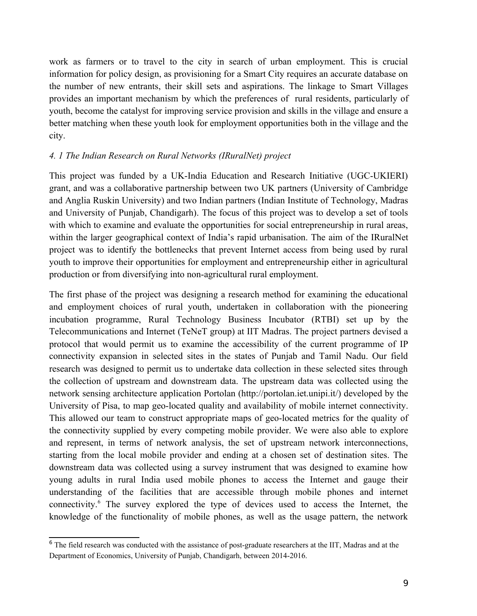work as farmers or to travel to the city in search of urban employment. This is crucial information for policy design, as provisioning for a Smart City requires an accurate database on the number of new entrants, their skill sets and aspirations. The linkage to Smart Villages provides an important mechanism by which the preferences of rural residents, particularly of youth, become the catalyst for improving service provision and skills in the village and ensure a better matching when these youth look for employment opportunities both in the village and the city.

### *4. 1 The Indian Research on Rural Networks (IRuralNet) project*

This project was funded by a UK-India Education and Research Initiative (UGC-UKIERI) grant, and was a collaborative partnership between two UK partners (University of Cambridge and Anglia Ruskin University) and two Indian partners (Indian Institute of Technology, Madras and University of Punjab, Chandigarh). The focus of this project was to develop a set of tools with which to examine and evaluate the opportunities for social entrepreneurship in rural areas, within the larger geographical context of India's rapid urbanisation. The aim of the IRuralNet project was to identify the bottlenecks that prevent Internet access from being used by rural youth to improve their opportunities for employment and entrepreneurship either in agricultural production or from diversifying into non-agricultural rural employment.

The first phase of the project was designing a research method for examining the educational and employment choices of rural youth, undertaken in collaboration with the pioneering incubation programme, Rural Technology Business Incubator (RTBI) set up by the Telecommunications and Internet (TeNeT group) at IIT Madras. The project partners devised a protocol that would permit us to examine the accessibility of the current programme of IP connectivity expansion in selected sites in the states of Punjab and Tamil Nadu. Our field research was designed to permit us to undertake data collection in these selected sites through the collection of upstream and downstream data. The upstream data was collected using the network sensing architecture application Portolan (http://portolan.iet.unipi.it/) developed by the University of Pisa, to map geo-located quality and availability of mobile internet connectivity. This allowed our team to construct appropriate maps of geo-located metrics for the quality of the connectivity supplied by every competing mobile provider. We were also able to explore and represent, in terms of network analysis, the set of upstream network interconnections, starting from the local mobile provider and ending at a chosen set of destination sites. The downstream data was collected using a survey instrument that was designed to examine how young adults in rural India used mobile phones to access the Internet and gauge their understanding of the facilities that are accessible through mobile phones and internet connectivity.<sup>[6](#page-8-0)</sup> The survey explored the type of devices used to access the Internet, the knowledge of the functionality of mobile phones, as well as the usage pattern, the network

<span id="page-8-0"></span><sup>&</sup>lt;sup>6</sup> The field research was conducted with the assistance of post-graduate researchers at the IIT, Madras and at the Department of Economics, University of Punjab, Chandigarh, between 2014-2016.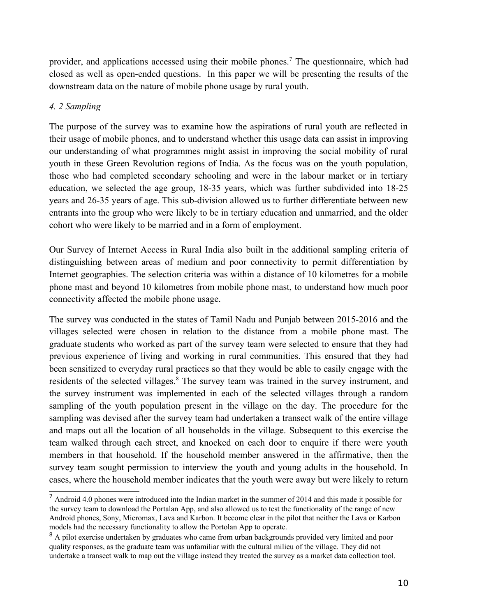provider, and applications accessed using their mobile phones.<sup>[7](#page-9-0)</sup> The questionnaire, which had closed as well as open-ended questions. In this paper we will be presenting the results of the downstream data on the nature of mobile phone usage by rural youth.

## *4. 2 Sampling*

The purpose of the survey was to examine how the aspirations of rural youth are reflected in their usage of mobile phones, and to understand whether this usage data can assist in improving our understanding of what programmes might assist in improving the social mobility of rural youth in these Green Revolution regions of India. As the focus was on the youth population, those who had completed secondary schooling and were in the labour market or in tertiary education, we selected the age group, 18-35 years, which was further subdivided into 18-25 years and 26-35 years of age. This sub-division allowed us to further differentiate between new entrants into the group who were likely to be in tertiary education and unmarried, and the older cohort who were likely to be married and in a form of employment.

Our Survey of Internet Access in Rural India also built in the additional sampling criteria of distinguishing between areas of medium and poor connectivity to permit differentiation by Internet geographies. The selection criteria was within a distance of 10 kilometres for a mobile phone mast and beyond 10 kilometres from mobile phone mast, to understand how much poor connectivity affected the mobile phone usage.

The survey was conducted in the states of Tamil Nadu and Punjab between 2015-2016 and the villages selected were chosen in relation to the distance from a mobile phone mast. The graduate students who worked as part of the survey team were selected to ensure that they had previous experience of living and working in rural communities. This ensured that they had been sensitized to everyday rural practices so that they would be able to easily engage with the residents of the selected villages.<sup>[8](#page-9-1)</sup> The survey team was trained in the survey instrument, and the survey instrument was implemented in each of the selected villages through a random sampling of the youth population present in the village on the day. The procedure for the sampling was devised after the survey team had undertaken a transect walk of the entire village and maps out all the location of all households in the village. Subsequent to this exercise the team walked through each street, and knocked on each door to enquire if there were youth members in that household. If the household member answered in the affirmative, then the survey team sought permission to interview the youth and young adults in the household. In cases, where the household member indicates that the youth were away but were likely to return

<span id="page-9-0"></span> $<sup>7</sup>$  Android 4.0 phones were introduced into the Indian market in the summer of 2014 and this made it possible for</sup> the survey team to download the Portalan App, and also allowed us to test the functionality of the range of new Android phones, Sony, Micromax, Lava and Karbon. It become clear in the pilot that neither the Lava or Karbon models had the necessary functionality to allow the Portolan App to operate.

<span id="page-9-1"></span><sup>&</sup>lt;sup>8</sup> A pilot exercise undertaken by graduates who came from urban backgrounds provided very limited and poor quality responses, as the graduate team was unfamiliar with the cultural milieu of the village. They did not undertake a transect walk to map out the village instead they treated the survey as a market data collection tool.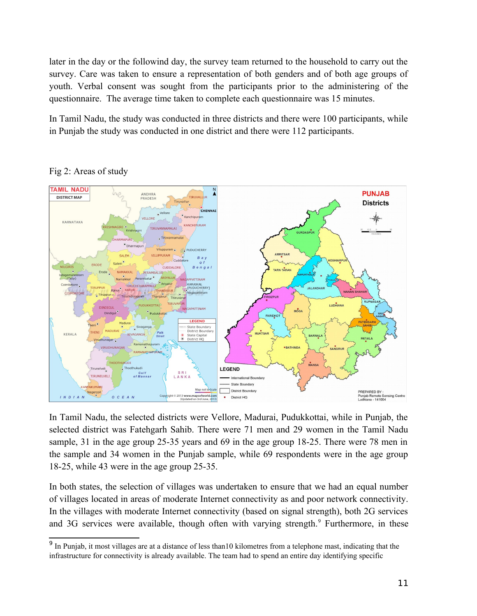later in the day or the followind day, the survey team returned to the household to carry out the survey. Care was taken to ensure a representation of both genders and of both age groups of youth. Verbal consent was sought from the participants prior to the administering of the questionnaire. The average time taken to complete each questionnaire was 15 minutes.

In Tamil Nadu, the study was conducted in three districts and there were 100 participants, while in Punjab the study was conducted in one district and there were 112 participants.



Fig 2: Areas of study

In Tamil Nadu, the selected districts were Vellore, Madurai, Pudukkottai, while in Punjab, the selected district was Fatehgarh Sahib. There were 71 men and 29 women in the Tamil Nadu sample, 31 in the age group 25-35 years and 69 in the age group 18-25. There were 78 men in the sample and 34 women in the Punjab sample, while 69 respondents were in the age group 18-25, while 43 were in the age group 25-35.

In both states, the selection of villages was undertaken to ensure that we had an equal number of villages located in areas of moderate Internet connectivity as and poor network connectivity. In the villages with moderate Internet connectivity (based on signal strength), both 2G services and 3G services were available, though often with varying strength.<sup>[9](#page-10-0)</sup> Furthermore, in these

<span id="page-10-0"></span><sup>&</sup>lt;sup>9</sup> In Punjab, it most villages are at a distance of less than10 kilometres from a telephone mast, indicating that the infrastructure for connectivity is already available. The team had to spend an entire day identifying specific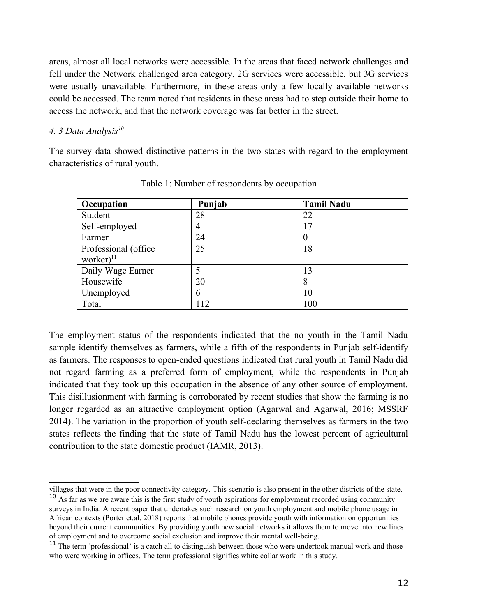areas, almost all local networks were accessible. In the areas that faced network challenges and fell under the Network challenged area category, 2G services were accessible, but 3G services were usually unavailable. Furthermore, in these areas only a few locally available networks could be accessed. The team noted that residents in these areas had to step outside their home to access the network, and that the network coverage was far better in the street.

### *4. 3 Data Analysis[10](#page-11-0)*

The survey data showed distinctive patterns in the two states with regard to the employment characteristics of rural youth.

| Occupation            | Punjab | <b>Tamil Nadu</b> |
|-----------------------|--------|-------------------|
| Student               | 28     | 22                |
| Self-employed         | 4      | 17                |
| Farmer                | 24     | $\theta$          |
| Professional (office) | 25     | 18                |
| worker $)^{11}$       |        |                   |
| Daily Wage Earner     |        | 13                |
| Housewife             | 20     | 8                 |
| Unemployed            | 6      | 10                |
| Total                 | 112    | 100               |

Table 1: Number of respondents by occupation

The employment status of the respondents indicated that the no youth in the Tamil Nadu sample identify themselves as farmers, while a fifth of the respondents in Punjab self-identify as farmers. The responses to open-ended questions indicated that rural youth in Tamil Nadu did not regard farming as a preferred form of employment, while the respondents in Punjab indicated that they took up this occupation in the absence of any other source of employment. This disillusionment with farming is corroborated by recent studies that show the farming is no longer regarded as an attractive employment option (Agarwal and Agarwal, 2016; MSSRF 2014). The variation in the proportion of youth self-declaring themselves as farmers in the two states reflects the finding that the state of Tamil Nadu has the lowest percent of agricultural contribution to the state domestic product (IAMR, 2013).

villages that were in the poor connectivity category. This scenario is also present in the other districts of the state.

<span id="page-11-0"></span><sup>&</sup>lt;sup>10</sup> As far as we are aware this is the first study of youth aspirations for employment recorded using community surveys in India. A recent paper that undertakes such research on youth employment and mobile phone usage in African contexts (Porter et.al. 2018) reports that mobile phones provide youth with information on opportunities beyond their current communities. By providing youth new social networks it allows them to move into new lines of employment and to overcome social exclusion and improve their mental well-being.

<span id="page-11-1"></span><sup>&</sup>lt;sup>11</sup> The term 'professional' is a catch all to distinguish between those who were undertook manual work and those who were working in offices. The term professional signifies white collar work in this study.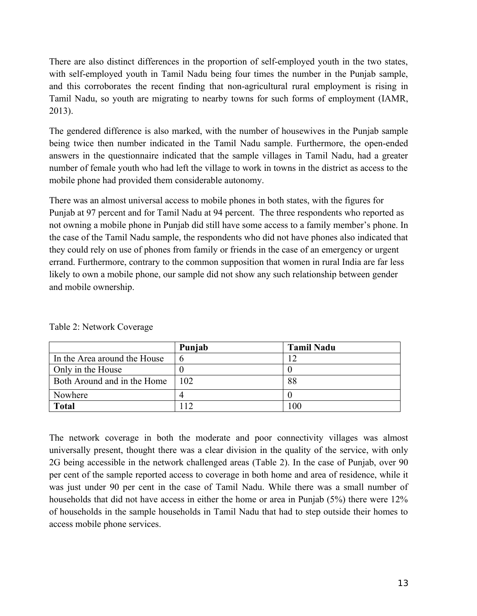There are also distinct differences in the proportion of self-employed youth in the two states, with self-employed youth in Tamil Nadu being four times the number in the Punjab sample, and this corroborates the recent finding that non-agricultural rural employment is rising in Tamil Nadu, so youth are migrating to nearby towns for such forms of employment (IAMR, 2013).

The gendered difference is also marked, with the number of housewives in the Punjab sample being twice then number indicated in the Tamil Nadu sample. Furthermore, the open-ended answers in the questionnaire indicated that the sample villages in Tamil Nadu, had a greater number of female youth who had left the village to work in towns in the district as access to the mobile phone had provided them considerable autonomy.

There was an almost universal access to mobile phones in both states, with the figures for Punjab at 97 percent and for Tamil Nadu at 94 percent. The three respondents who reported as not owning a mobile phone in Punjab did still have some access to a family member's phone. In the case of the Tamil Nadu sample, the respondents who did not have phones also indicated that they could rely on use of phones from family or friends in the case of an emergency or urgent errand. Furthermore, contrary to the common supposition that women in rural India are far less likely to own a mobile phone, our sample did not show any such relationship between gender and mobile ownership.

|                              | Punjab         | <b>Tamil Nadu</b> |
|------------------------------|----------------|-------------------|
| In the Area around the House | O              | ר ו               |
| Only in the House            |                |                   |
| Both Around and in the Home  | 102            | 88                |
| Nowhere                      |                |                   |
| <b>Total</b>                 | $\overline{1}$ | 100               |

Table 2: Network Coverage

The network coverage in both the moderate and poor connectivity villages was almost universally present, thought there was a clear division in the quality of the service, with only 2G being accessible in the network challenged areas (Table 2). In the case of Punjab, over 90 per cent of the sample reported access to coverage in both home and area of residence, while it was just under 90 per cent in the case of Tamil Nadu. While there was a small number of households that did not have access in either the home or area in Punjab (5%) there were 12% of households in the sample households in Tamil Nadu that had to step outside their homes to access mobile phone services.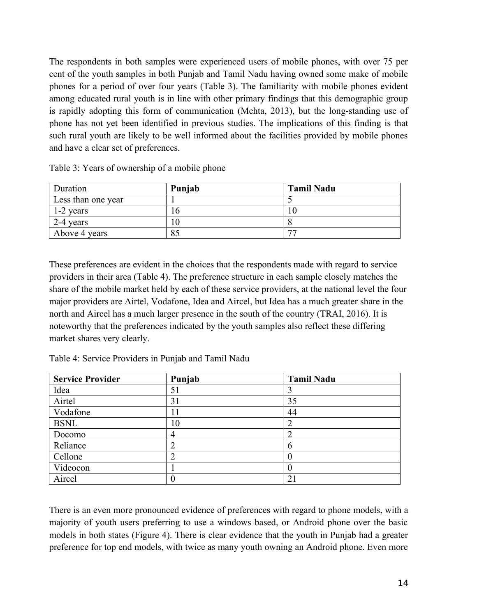The respondents in both samples were experienced users of mobile phones, with over 75 per cent of the youth samples in both Punjab and Tamil Nadu having owned some make of mobile phones for a period of over four years (Table 3). The familiarity with mobile phones evident among educated rural youth is in line with other primary findings that this demographic group is rapidly adopting this form of communication (Mehta, 2013), but the long-standing use of phone has not yet been identified in previous studies. The implications of this finding is that such rural youth are likely to be well informed about the facilities provided by mobile phones and have a clear set of preferences.

| Duration           | Punjab | <b>Tamil Nadu</b> |
|--------------------|--------|-------------------|
| Less than one year |        |                   |
| 1-2 years          |        |                   |
| 2-4 years          |        |                   |
| Above 4 years      | 85     |                   |

Table 3: Years of ownership of a mobile phone

These preferences are evident in the choices that the respondents made with regard to service providers in their area (Table 4). The preference structure in each sample closely matches the share of the mobile market held by each of these service providers, at the national level the four major providers are Airtel, Vodafone, Idea and Aircel, but Idea has a much greater share in the north and Aircel has a much larger presence in the south of the country (TRAI, 2016). It is noteworthy that the preferences indicated by the youth samples also reflect these differing market shares very clearly.

Table 4: Service Providers in Punjab and Tamil Nadu

| <b>Service Provider</b> | Punjab         | <b>Tamil Nadu</b> |
|-------------------------|----------------|-------------------|
| Idea                    | 51             |                   |
| Airtel                  | 31             | 35                |
| Vodafone                | 11             | 44                |
| <b>BSNL</b>             | 10             |                   |
| Docomo                  | $\overline{4}$ |                   |
| Reliance                | $\overline{2}$ |                   |
| Cellone                 | $\overline{2}$ |                   |
| Videocon                |                |                   |
| Aircel                  | 0              | 21                |

There is an even more pronounced evidence of preferences with regard to phone models, with a majority of youth users preferring to use a windows based, or Android phone over the basic models in both states (Figure 4). There is clear evidence that the youth in Punjab had a greater preference for top end models, with twice as many youth owning an Android phone. Even more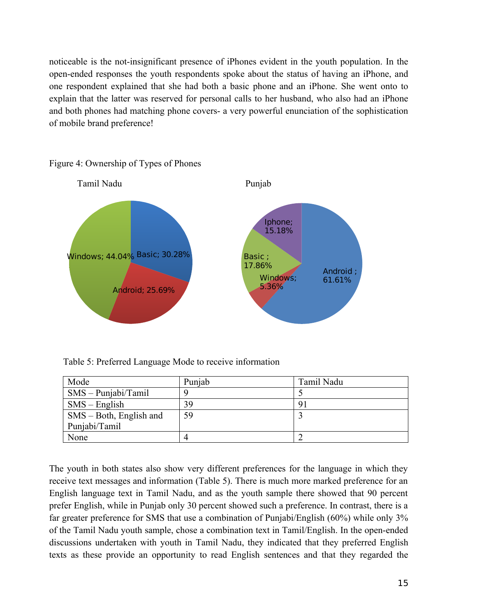noticeable is the not-insignificant presence of iPhones evident in the youth population. In the open-ended responses the youth respondents spoke about the status of having an iPhone, and one respondent explained that she had both a basic phone and an iPhone. She went onto to explain that the latter was reserved for personal calls to her husband, who also had an iPhone and both phones had matching phone covers- a very powerful enunciation of the sophistication of mobile brand preference!



Figure 4: Ownership of Types of Phones

Table 5: Preferred Language Mode to receive information

| Mode                       | Punjab | Tamil Nadu |
|----------------------------|--------|------------|
| $SMS - Puniabi/Tamil$      |        |            |
| $SMS$ – English            | 39.    | 9.         |
| $SMS - Both$ , English and | 59     |            |
| Punjabi/Tamil              |        |            |
| None                       |        |            |

The youth in both states also show very different preferences for the language in which they receive text messages and information (Table 5). There is much more marked preference for an English language text in Tamil Nadu, and as the youth sample there showed that 90 percent prefer English, while in Punjab only 30 percent showed such a preference. In contrast, there is a far greater preference for SMS that use a combination of Punjabi/English (60%) while only 3% of the Tamil Nadu youth sample, chose a combination text in Tamil/English. In the open-ended discussions undertaken with youth in Tamil Nadu, they indicated that they preferred English texts as these provide an opportunity to read English sentences and that they regarded the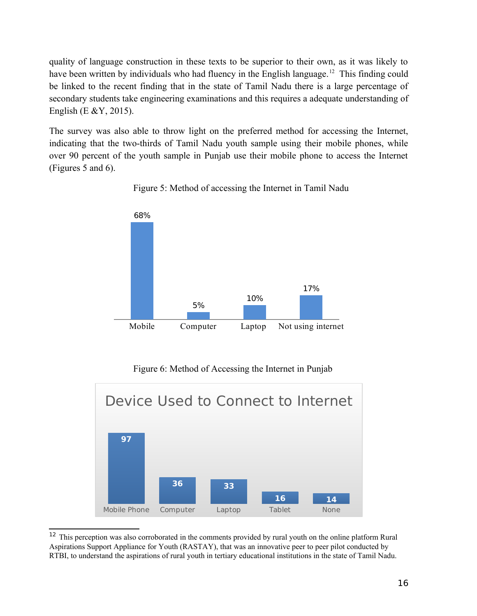quality of language construction in these texts to be superior to their own, as it was likely to have been written by individuals who had fluency in the English language.<sup>[12](#page-15-0)</sup> This finding could be linked to the recent finding that in the state of Tamil Nadu there is a large percentage of secondary students take engineering examinations and this requires a adequate understanding of English (E &Y, 2015).

The survey was also able to throw light on the preferred method for accessing the Internet, indicating that the two-thirds of Tamil Nadu youth sample using their mobile phones, while over 90 percent of the youth sample in Punjab use their mobile phone to access the Internet (Figures 5 and 6).



Figure 5: Method of accessing the Internet in Tamil Nadu

Figure 6: Method of Accessing the Internet in Punjab



<span id="page-15-0"></span> $12$  This perception was also corroborated in the comments provided by rural youth on the online platform Rural Aspirations Support Appliance for Youth (RASTAY), that was an innovative peer to peer pilot conducted by RTBI, to understand the aspirations of rural youth in tertiary educational institutions in the state of Tamil Nadu.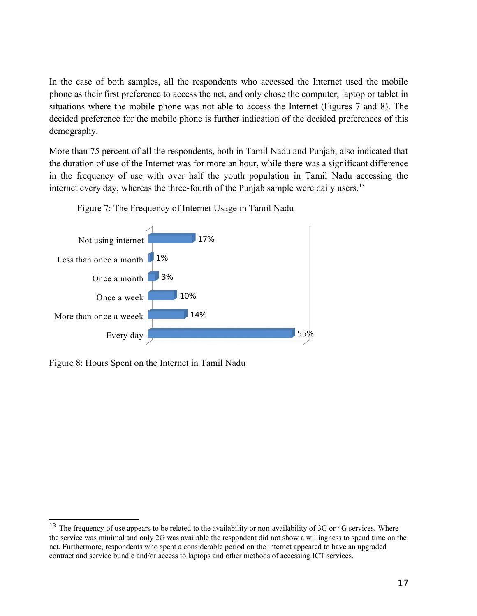In the case of both samples, all the respondents who accessed the Internet used the mobile phone as their first preference to access the net, and only chose the computer, laptop or tablet in situations where the mobile phone was not able to access the Internet (Figures 7 and 8). The decided preference for the mobile phone is further indication of the decided preferences of this demography.

More than 75 percent of all the respondents, both in Tamil Nadu and Punjab, also indicated that the duration of use of the Internet was for more an hour, while there was a significant difference in the frequency of use with over half the youth population in Tamil Nadu accessing the internet every day, whereas the three-fourth of the Punjab sample were daily users.<sup>[13](#page-16-0)</sup>



Figure 7: The Frequency of Internet Usage in Tamil Nadu

Figure 8: Hours Spent on the Internet in Tamil Nadu

<span id="page-16-0"></span><sup>&</sup>lt;sup>13</sup> The frequency of use appears to be related to the availability or non-availability of 3G or 4G services. Where the service was minimal and only 2G was available the respondent did not show a willingness to spend time on the net. Furthermore, respondents who spent a considerable period on the internet appeared to have an upgraded contract and service bundle and/or access to laptops and other methods of accessing ICT services.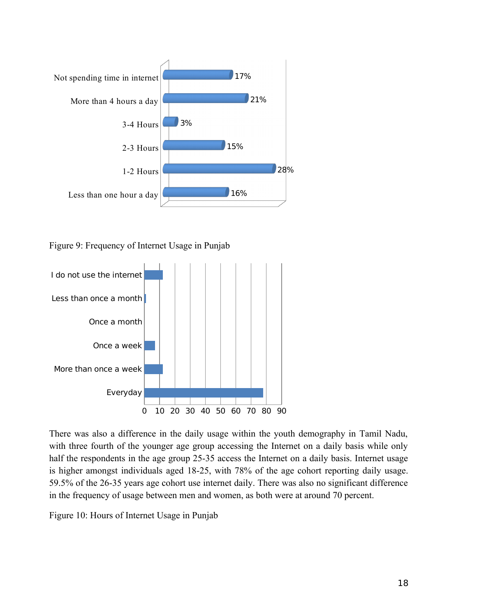

Figure 9: Frequency of Internet Usage in Punjab



There was also a difference in the daily usage within the youth demography in Tamil Nadu, with three fourth of the younger age group accessing the Internet on a daily basis while only half the respondents in the age group 25-35 access the Internet on a daily basis. Internet usage is higher amongst individuals aged 18-25, with 78% of the age cohort reporting daily usage. 59.5% of the 26-35 years age cohort use internet daily. There was also no significant difference in the frequency of usage between men and women, as both were at around 70 percent.

Figure 10: Hours of Internet Usage in Punjab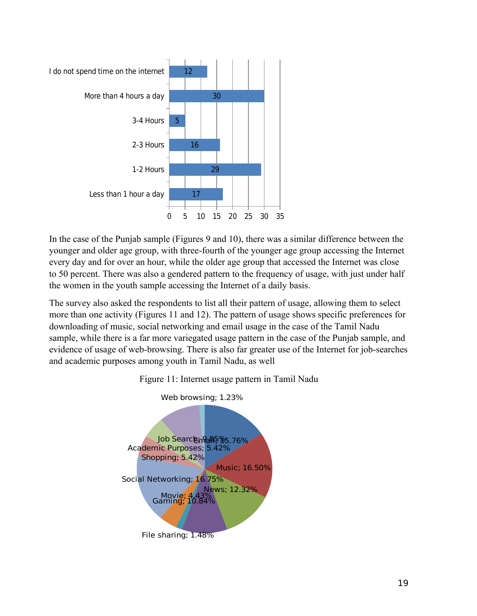

In the case of the Punjab sample (Figures 9 and 10), there was a similar difference between the younger and older age group, with three-fourth of the younger age group accessing the Internet every day and for over an hour, while the older age group that accessed the Internet was close to 50 percent. There was also a gendered pattern to the frequency of usage, with just under half the women in the youth sample accessing the Internet of a daily basis.

The survey also asked the respondents to list all their pattern of usage, allowing them to select more than one activity (Figures 11 and 12). The pattern of usage shows specific preferences for downloading of music, social networking and email usage in the case of the Tamil Nadu sample, while there is a far more variegated usage pattern in the case of the Punjab sample, and evidence of usage of web-browsing. There is also far greater use of the Internet for job-searches and academic purposes among youth in Tamil Nadu, as well



Figure 11: Internet usage pattern in Tamil Nadu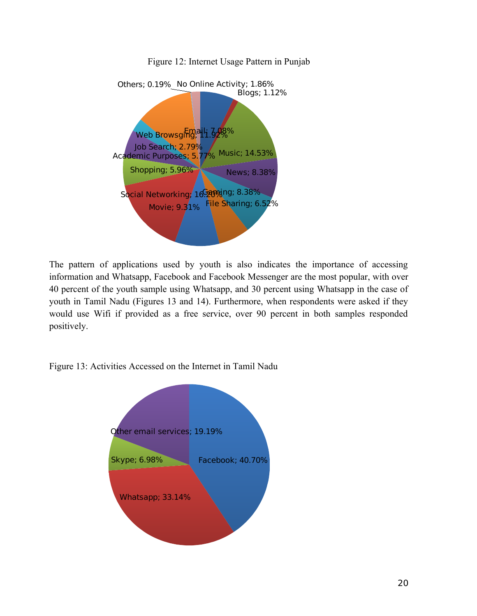

Figure 12: Internet Usage Pattern in Punjab

The pattern of applications used by youth is also indicates the importance of accessing information and Whatsapp, Facebook and Facebook Messenger are the most popular, with over 40 percent of the youth sample using Whatsapp, and 30 percent using Whatsapp in the case of youth in Tamil Nadu (Figures 13 and 14). Furthermore, when respondents were asked if they would use Wifi if provided as a free service, over 90 percent in both samples responded positively.

Figure 13: Activities Accessed on the Internet in Tamil Nadu

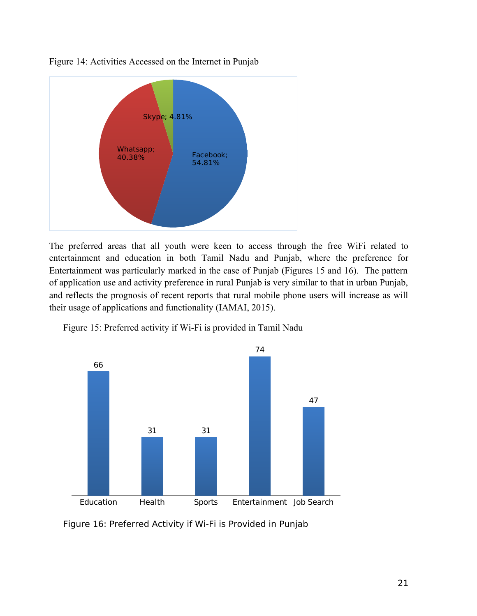

Figure 14: Activities Accessed on the Internet in Punjab

The preferred areas that all youth were keen to access through the free WiFi related to entertainment and education in both Tamil Nadu and Punjab, where the preference for Entertainment was particularly marked in the case of Punjab (Figures 15 and 16). The pattern of application use and activity preference in rural Punjab is very similar to that in urban Punjab, and reflects the prognosis of recent reports that rural mobile phone users will increase as will their usage of applications and functionality (IAMAI, 2015).





Figure 16: Preferred Activity if Wi-Fi is Provided in Punjab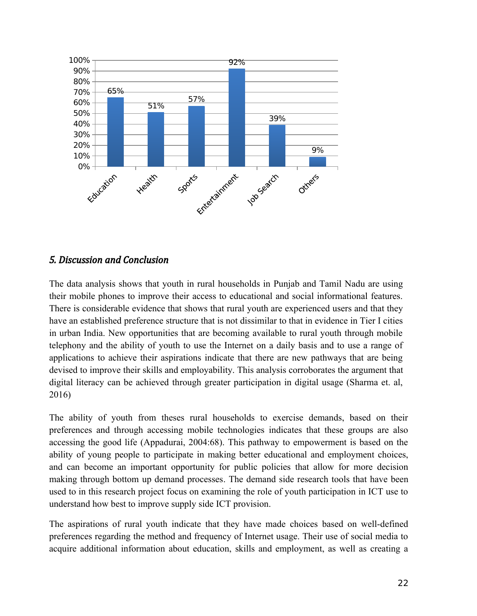

# *5. Discussion and Conclusion*

The data analysis shows that youth in rural households in Punjab and Tamil Nadu are using their mobile phones to improve their access to educational and social informational features. There is considerable evidence that shows that rural youth are experienced users and that they have an established preference structure that is not dissimilar to that in evidence in Tier I cities in urban India. New opportunities that are becoming available to rural youth through mobile telephony and the ability of youth to use the Internet on a daily basis and to use a range of applications to achieve their aspirations indicate that there are new pathways that are being devised to improve their skills and employability. This analysis corroborates the argument that digital literacy can be achieved through greater participation in digital usage (Sharma et. al, 2016)

The ability of youth from theses rural households to exercise demands, based on their preferences and through accessing mobile technologies indicates that these groups are also accessing the good life (Appadurai, 2004:68). This pathway to empowerment is based on the ability of young people to participate in making better educational and employment choices, and can become an important opportunity for public policies that allow for more decision making through bottom up demand processes. The demand side research tools that have been used to in this research project focus on examining the role of youth participation in ICT use to understand how best to improve supply side ICT provision.

The aspirations of rural youth indicate that they have made choices based on well-defined preferences regarding the method and frequency of Internet usage. Their use of social media to acquire additional information about education, skills and employment, as well as creating a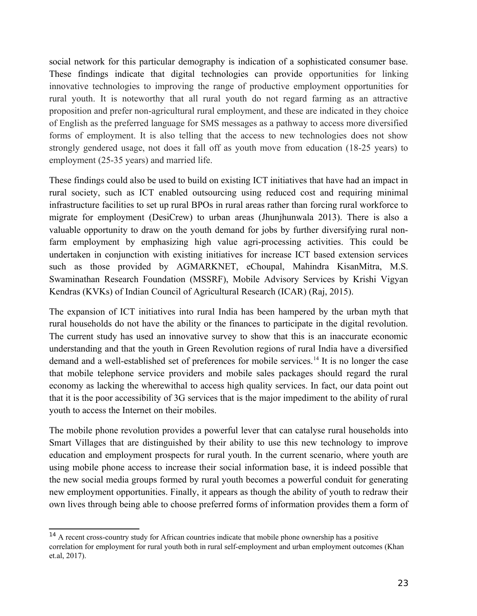social network for this particular demography is indication of a sophisticated consumer base. These findings indicate that digital technologies can provide opportunities for linking innovative technologies to improving the range of productive employment opportunities for rural youth. It is noteworthy that all rural youth do not regard farming as an attractive proposition and prefer non-agricultural rural employment, and these are indicated in they choice of English as the preferred language for SMS messages as a pathway to access more diversified forms of employment. It is also telling that the access to new technologies does not show strongly gendered usage, not does it fall off as youth move from education (18-25 years) to employment (25-35 years) and married life.

These findings could also be used to build on existing ICT initiatives that have had an impact in rural society, such as ICT enabled outsourcing using reduced cost and requiring minimal infrastructure facilities to set up rural BPOs in rural areas rather than forcing rural workforce to migrate for employment (DesiCrew) to urban areas (Jhunjhunwala 2013). There is also a valuable opportunity to draw on the youth demand for jobs by further diversifying rural nonfarm employment by emphasizing high value agri-processing activities. This could be undertaken in conjunction with existing initiatives for increase ICT based extension services such as those provided by AGMARKNET, eChoupal, Mahindra KisanMitra, M.S. Swaminathan Research Foundation (MSSRF), Mobile Advisory Services by Krishi Vigyan Kendras (KVKs) of Indian Council of Agricultural Research (ICAR) (Raj, 2015).

The expansion of ICT initiatives into rural India has been hampered by the urban myth that rural households do not have the ability or the finances to participate in the digital revolution. The current study has used an innovative survey to show that this is an inaccurate economic understanding and that the youth in Green Revolution regions of rural India have a diversified demand and a well-established set of preferences for mobile services.<sup>[14](#page-22-0)</sup> It is no longer the case that mobile telephone service providers and mobile sales packages should regard the rural economy as lacking the wherewithal to access high quality services. In fact, our data point out that it is the poor accessibility of 3G services that is the major impediment to the ability of rural youth to access the Internet on their mobiles.

The mobile phone revolution provides a powerful lever that can catalyse rural households into Smart Villages that are distinguished by their ability to use this new technology to improve education and employment prospects for rural youth. In the current scenario, where youth are using mobile phone access to increase their social information base, it is indeed possible that the new social media groups formed by rural youth becomes a powerful conduit for generating new employment opportunities. Finally, it appears as though the ability of youth to redraw their own lives through being able to choose preferred forms of information provides them a form of

<span id="page-22-0"></span> $14$  A recent cross-country study for African countries indicate that mobile phone ownership has a positive correlation for employment for rural youth both in rural self-employment and urban employment outcomes (Khan et.al, 2017).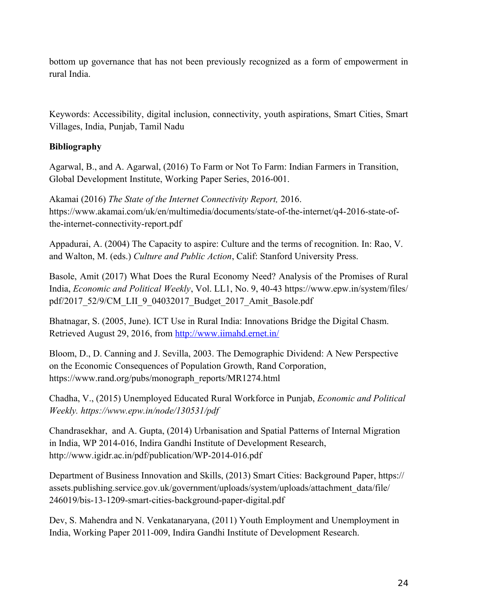bottom up governance that has not been previously recognized as a form of empowerment in rural India.

Keywords: Accessibility, digital inclusion, connectivity, youth aspirations, Smart Cities, Smart Villages, India, Punjab, Tamil Nadu

# **Bibliography**

Agarwal, B., and A. Agarwal, (2016) To Farm or Not To Farm: Indian Farmers in Transition, Global Development Institute, Working Paper Series, 2016-001.

Akamai (2016) *The State of the Internet Connectivity Report,* 2016. https://www.akamai.com/uk/en/multimedia/documents/state-of-the-internet/q4-2016-state-ofthe-internet-connectivity-report.pdf

Appadurai, A. (2004) The Capacity to aspire: Culture and the terms of recognition. In: Rao, V. and Walton, M. (eds.) *Culture and Public Action*, Calif: Stanford University Press.

Basole, Amit (2017) What Does the Rural Economy Need? Analysis of the Promises of Rural India, *Economic and Political Weekly*, Vol. LL1, No. 9, 40-43 https://www.epw.in/system/files/ pdf/2017\_52/9/CM\_LII\_9\_04032017\_Budget\_2017\_Amit\_Basole.pdf

Bhatnagar, S. (2005, June). ICT Use in Rural India: Innovations Bridge the Digital Chasm. Retrieved August 29, 2016, from<http://www.iimahd.ernet.in/>

Bloom, D., D. Canning and J. Sevilla, 2003. The Demographic Dividend: A New Perspective on the Economic Consequences of Population Growth, Rand Corporation, https://www.rand.org/pubs/monograph\_reports/MR1274.html

Chadha, V., (2015) Unemployed Educated Rural Workforce in Punjab, *Economic and Political Weekly. https://www.epw.in/node/130531/pdf*

Chandrasekhar, and A. Gupta, (2014) Urbanisation and Spatial Patterns of Internal Migration in India, WP 2014-016, Indira Gandhi Institute of Development Research, http://www.igidr.ac.in/pdf/publication/WP-2014-016.pdf

Department of Business Innovation and Skills, (2013) Smart Cities: Background Paper, https:// assets.publishing.service.gov.uk/government/uploads/system/uploads/attachment\_data/file/ 246019/bis-13-1209-smart-cities-background-paper-digital.pdf

Dev, S. Mahendra and N. Venkatanaryana, (2011) Youth Employment and Unemployment in India, Working Paper 2011-009, Indira Gandhi Institute of Development Research.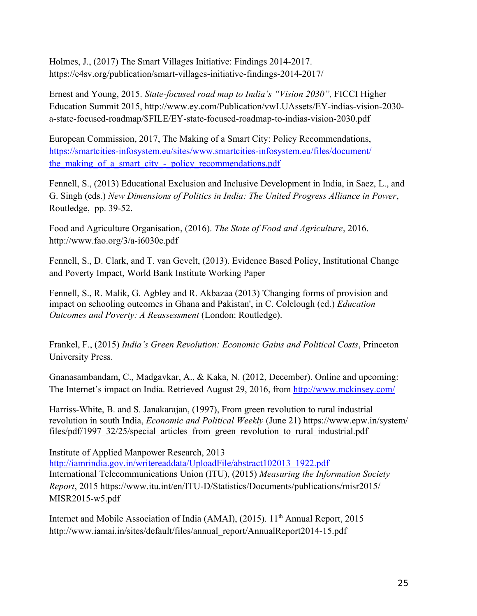Holmes, J., (2017) The Smart Villages Initiative: Findings 2014-2017. https://e4sv.org/publication/smart-villages-initiative-findings-2014-2017/

Ernest and Young, 2015. *State-focused road map to India's "Vision 2030",* FICCI Higher Education Summit 2015, http://www.ey.com/Publication/vwLUAssets/EY-indias-vision-2030 a-state-focused-roadmap/\$FILE/EY-state-focused-roadmap-to-indias-vision-2030.pdf

European Commission, 2017, The Making of a Smart City: Policy Recommendations, [https://smartcities-infosystem.eu/sites/www.smartcities-infosystem.eu/files/document/](https://smartcities-infosystem.eu/sites/www.smartcities-infosystem.eu/files/document/the_making_of_a_smart_city_-_policy_recommendations.pdf) the making of a smart city - policy recommendations.pdf

Fennell, S., (2013) Educational Exclusion and Inclusive Development in India, in Saez, L., and G. Singh (eds.) *New Dimensions of Politics in India: The United Progress Alliance in Power*, Routledge, pp. 39-52.

Food and Agriculture Organisation, (2016). *The State of Food and Agriculture*, 2016. http://www.fao.org/3/a-i6030e.pdf

Fennell, S., D. Clark, and T. van Gevelt, (2013). Evidence Based Policy, Institutional Change and Poverty Impact, World Bank Institute Working Paper

Fennell, S., R. Malik, G. Agbley and R. Akbazaa (2013) 'Changing forms of provision and impact on schooling outcomes in Ghana and Pakistan', in C. Colclough (ed.) *Education Outcomes and Poverty: A Reassessment* (London: Routledge).

Frankel, F., (2015) *India's Green Revolution: Economic Gains and Political Costs*, Princeton University Press.

Gnanasambandam, C., Madgavkar, A., & Kaka, N. (2012, December). Online and upcoming: The Internet's impact on India. Retrieved August 29, 2016, from<http://www.mckinsey.com/>

Harriss-White, B. and S. Janakarajan, (1997), From green revolution to rural industrial revolution in south India, *Economic and Political Weekly* (June 21) https://www.epw.in/system/ files/pdf/1997 32/25/special articles from green revolution to rural industrial.pdf

Institute of Applied Manpower Research, 2013 [http://iamrindia.gov.in/writereaddata/UploadFile/abstract102013\\_1922.pdf](http://iamrindia.gov.in/writereaddata/UploadFile/abstract102013_1922.pdf) International Telecommunications Union (ITU), (2015) *Measuring the Information Society Report*, 2015 https://www.itu.int/en/ITU-D/Statistics/Documents/publications/misr2015/ MISR2015-w5.pdf

Internet and Mobile Association of India (AMAI), (2015). 11<sup>th</sup> Annual Report, 2015 http://www.iamai.in/sites/default/files/annual\_report/AnnualReport2014-15.pdf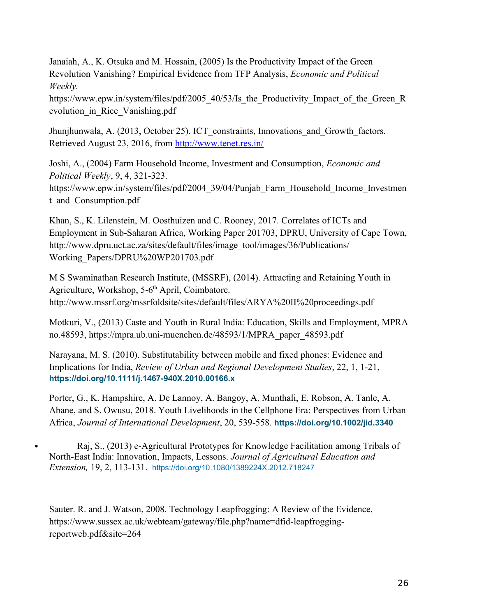Janaiah, A., K. Otsuka and M. Hossain, (2005) Is the Productivity Impact of the Green Revolution Vanishing? Empirical Evidence from TFP Analysis, *Economic and Political Weekly.* 

https://www.epw.in/system/files/pdf/2005 40/53/Is the Productivity Impact of the Green R evolution\_in\_Rice\_Vanishing.pdf

Jhunjhunwala, A. (2013, October 25). ICT constraints, Innovations and Growth factors. Retrieved August 23, 2016, from<http://www.tenet.res.in/>

Joshi, A., (2004) Farm Household Income, Investment and Consumption, *Economic and Political Weekly*, 9, 4, 321-323.

https://www.epw.in/system/files/pdf/2004 39/04/Punjab\_Farm\_Household\_Income\_Investmen t and Consumption.pdf

Khan, S., K. Lilenstein, M. Oosthuizen and C. Rooney, 2017. Correlates of ICTs and Employment in Sub-Saharan Africa, Working Paper 201703, DPRU, University of Cape Town, http://www.dpru.uct.ac.za/sites/default/files/image\_tool/images/36/Publications/ Working\_Papers/DPRU%20WP201703.pdf

M S Swaminathan Research Institute, (MSSRF), (2014). Attracting and Retaining Youth in Agriculture, Workshop, 5-6<sup>th</sup> April, Coimbatore. http://www.mssrf.org/mssrfoldsite/sites/default/files/ARYA%20II%20proceedings.pdf

Motkuri, V., (2013) Caste and Youth in Rural India: Education, Skills and Employment, MPRA no.48593, https://mpra.ub.uni-muenchen.de/48593/1/MPRA\_paper\_48593.pdf

Narayana, M. S. (2010). Substitutability between mobile and fixed phones: Evidence and Implications for India, *Review of Urban and Regional Development Studies*, 22, 1, 1-21, **<https://doi.org/10.1111/j.1467-940X.2010.00166.x>**

Porter, G., K. Hampshire, A. De Lannoy, A. Bangoy, A. Munthali, E. Robson, A. Tanle, A. Abane, and S. Owusu, 2018. Youth Livelihoods in the Cellphone Era: Perspectives from Urban Africa, *Journal of International Development*, 20, 539-558. **<https://doi.org/10.1002/jid.3340>**

 Raj, S., (2013) e-Agricultural Prototypes for Knowledge Facilitation among Tribals of North-East India: Innovation, Impacts, Lessons. *Journal of Agricultural Education and Extension,* 19, 2, 113-131. <https://doi.org/10.1080/1389224X.2012.718247>

Sauter. R. and J. Watson, 2008. Technology Leapfrogging: A Review of the Evidence, https://www.sussex.ac.uk/webteam/gateway/file.php?name=dfid-leapfroggingreportweb.pdf&site=264